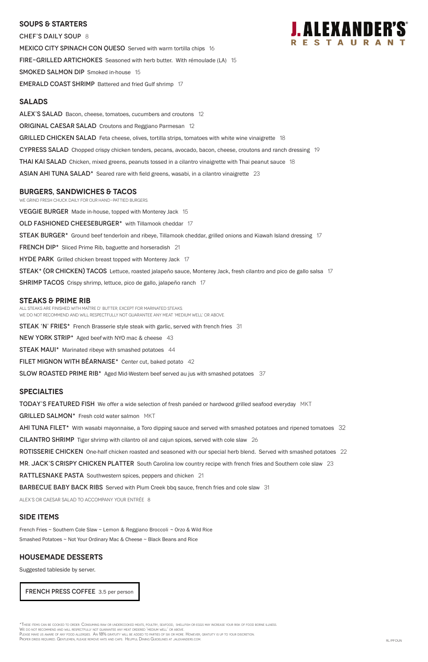#### **SOUPS & Starters**

CHEF'S DAILY SOUP 8 MEXICO CITY SPINACH CON QUESO Served with warm tortilla chips 16 FIRE-GRILLED ARTICHOKES Seasoned with herb butter. With rémoulade (LA) 15 SMOKED SALMON DIP Smoked in-house 15 **EMERALD COAST SHRIMP** Battered and fried Gulf shrimp 17

#### **Salads**

ALEX'S SALAD Bacon, cheese, tomatoes, cucumbers and croutons 12 **ORIGINAL CAESAR SALAD** Croutons and Reggiano Parmesan 12 GRILLED CHICKEN SALAD Feta cheese, olives, tortilla strips, tomatoes with white wine vinaigrette 18 CYPRESS SALAD Chopped crispy chicken tenders, pecans, avocado, bacon, cheese, croutons and ranch dressing 19 **THAI KAI SALAD** Chicken, mixed greens, peanuts tossed in a cilantro vinaigrette with Thai peanut sauce 18  $\Delta$ SIAN AHI TUNA SALAD<sup>\*</sup> Seared rare with field greens, wasabi, in a cilantro vinaigrette 23

We grind fresh chuck daily for our hand-pattied burgers. **VEGGIE BURGER** Made in-house, topped with Monterey Jack 15 OLD FASHIONED CHEESEBURGER\* with Tillamook cheddar 17 STEAK BURGER<sup>\*</sup> Ground beef tenderloin and ribeye, Tillamook cheddar, grilled onions and Kiawah Island dressing 17 **FRENCH DIP\*** Sliced Prime Rib, baguette and horseradish 21 **HYDE PARK** Grilled chicken breast topped with Monterey Jack 17 STEAK\* (OR CHICKEN) TACOS Lettuce, roasted jalapeño sauce, Monterey Jack, fresh cilantro and pico de gallo salsa 17 SHRIMP TACOS Crispy shrimp, lettuce, pico de gallo, jalapeño ranch 17

#### **burgers, Sandwiches & tacos**

#### **STEAKS & Prime Rib**

All steaks are finished with Maître d' butter, except for marinated steaks. WE DO NOT RECOMMEND AND WILL RESPECTFULLY NOT GUARANTEE ANY MEAT 'MEDIUM WELL' OR ABOVE.

STEAK 'N' FRIES\* French Brasserie style steak with garlic, served with french fries 31

NEW YORK STRIP\* Aged beef with NYO mac & cheese 43

**STEAK MAUI\*** Marinated ribeye with smashed potatoes 44

FILET MIGNON WITH BEARNAISE\* Center cut, baked potato 42

SLOW ROASTED PRIME RIB<sup>\*</sup> Aged Mid-Western beef served au jus with smashed potatoes 37

#### **specialties**

**TODAY'S FEATURED FISH** We offer a wide selection of fresh panéed or hardwood grilled seafood everyday MKT

GRILLED SALMON\* Fresh cold water salmon MKT

AHI TUNA FILET<sup>\*</sup> With wasabi mayonnaise, a Toro dipping sauce and served with smashed potatoes and ripened tomatoes 32

CILANTRO SHRIMP Tiger shrimp with cilantro oil and cajun spices, served with cole slaw 26

ROTISSERIE CHICKEN One-half chicken roasted and seasoned with our special herb blend. Served with smashed potatoes 22

MR. JACK'S CRISPY CHICKEN PLATTER South Carolina low country recipe with french fries and Southern cole slaw 23

RATTLESNAKE PASTA Southwestern spices, peppers and chicken 21



#### BARBECUE BABY BACK RIBS Served with Plum Creek bbq sauce, french fries and cole slaw 31

ALEX's or Caesar salad to accompany your entrée 8

#### **SIDE ITEMS**

French Fries ~ Southern Cole Slaw ~ Lemon & Reggiano Broccoli ~ Orzo & Wild Rice Smashed Potatoes ~ Not Your Ordinary Mac & Cheese ~ Black Beans and Rice

#### **Housemade DESSERTS**

Suggested tableside by server.

\*These items can be cooked to order. Consuming raw or undercooked meats, poultry, seafood, shellfish or eggs may increase your risk of food borne illness.

We do not recommend and will respectfully not guarantee any meat ordered 'medium well' or above.

Please make us aware of any food allergies. An 18% gratuity will be added to parties of six or more. However, gratuity is up to your discretion.

PROPER DRESS REQUIRED. GENTLEMEN, PLEASE REMOVE HATS AND CAPS. HELPFUL DINING GUIDELINES AT JALEXANDERS.COM. RLOGO TO THE REALTHER AND THE REALTHER DUN

FRENCH PRESS COFFEE 3.5 per person